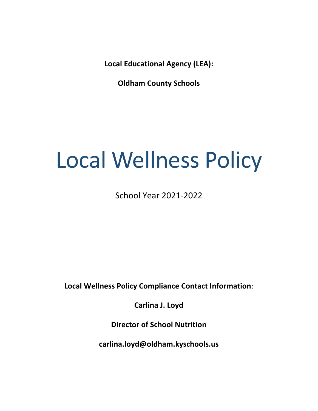**Local Educational Agency (LEA):** 

**Oldham County Schools**

# Local Wellness Policy

School Year 2021-2022

**Local Wellness Policy Compliance Contact Information**:

**Carlina J. Loyd**

**Director of School Nutrition**

**carlina.loyd@oldham.kyschools.us**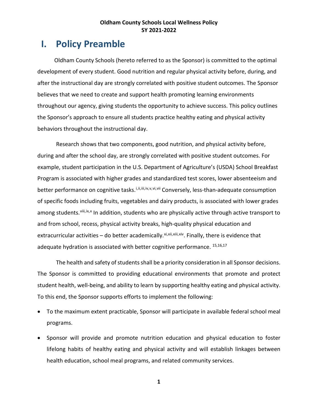# **I. Policy Preamble**

 Oldham County Schools (hereto referred to as the Sponsor) is committed to the optimal development of every student. Good nutrition and regular physical activity before, during, and after the instructional day are strongly correlated with positive student outcomes. The Sponsor believes that we need to create and support health promoting learning environments throughout our agency, giving students the opportunity to achieve success. This policy outlines the Sponsor's approach to ensure all students practice healthy eating and physical activity behaviors throughout the instructional day.

Research shows that two components, good nutrition, and physical activity before, during and after the school day, are strongly correlated with positive student outcomes. For example, student participation in the U.S. Department of Agriculture's (USDA) School Breakfast Program is associated with higher grades and standardized test scores, lower absenteeism and better performance on cognitive tasks.<sup>[i,](#page-28-0)[ii,](#page-28-1)[iii,](#page-28-2)[iv](#page-28-3),[v,](#page-28-4)[vi](#page-28-5),[vii](#page-28-6)</sup> Conversely, less-than-adequate consumption of specific foods including fruits, vegetables and dairy products, is associated with lower grades among students. Viii, [ix,](#page-28-8)[x](#page-28-9) In addition, students who are physically active through active transport to and from school, recess, physical activity breaks, high-quality physical education and extracurricular activities – do better academically. $x_i$ ,  $x_i$ i,  $x_i$ i,  $x_i$ iv. Finally, there is evidence that adequate hydration is associated with better cognitive performance. 15,16,17

The health and safety of students shall be a priority consideration in all Sponsor decisions. The Sponsor is committed to providing educational environments that promote and protect student health, well-being, and ability to learn by supporting healthy eating and physical activity. To this end, the Sponsor supports efforts to implement the following:

- To the maximum extent practicable, Sponsor will participate in available federal school meal programs.
- Sponsor will provide and promote nutrition education and physical education to foster lifelong habits of healthy eating and physical activity and will establish linkages between health education, school meal programs, and related community services.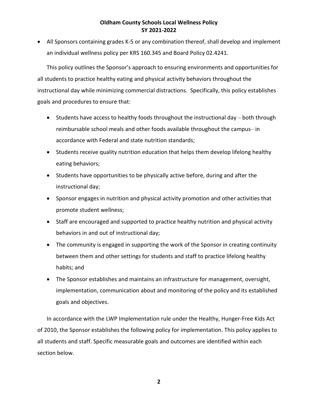• All Sponsors containing grades K-5 or any combination thereof, shall develop and implement an individual wellness policy per KRS 160.345 and Board Policy 02.4241.

This policy outlines the Sponsor's approach to ensuring environments and opportunities for all students to practice healthy eating and physical activity behaviors throughout the instructional day while minimizing commercial distractions. Specifically, this policy establishes goals and procedures to ensure that:

- Students have access to healthy foods throughout the instructional day both through reimbursable school meals and other foods available throughout the campus- in accordance with Federal and state nutrition standards;
- Students receive quality nutrition education that helps them develop lifelong healthy eating behaviors;
- Students have opportunities to be physically active before, during and after the instructional day;
- Sponsor engages in nutrition and physical activity promotion and other activities that promote student wellness;
- Staff are encouraged and supported to practice healthy nutrition and physical activity behaviors in and out of instructional day;
- The community is engaged in supporting the work of the Sponsor in creating continuity between them and other settings for students and staff to practice lifelong healthy habits; and
- The Sponsor establishes and maintains an infrastructure for management, oversight, implementation, communication about and monitoring of the policy and its established goals and objectives.

In accordance with the LWP Implementation rule under the Healthy, Hunger-Free Kids Act of 2010, the Sponsor establishes the following policy for implementation**.** This policy applies to all students and staff. Specific measurable goals and outcomes are identified within each section below.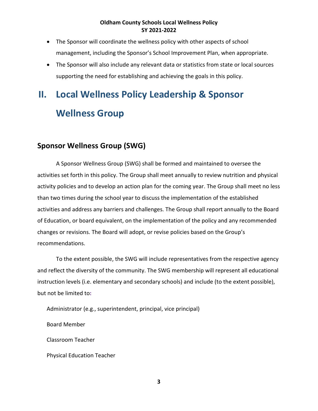- The Sponsor will coordinate the wellness policy with other aspects of school management, including the Sponsor's School Improvement Plan, when appropriate.
- The Sponsor will also include any relevant data or statistics from state or local sources supporting the need for establishing and achieving the goals in this policy.

# **II. Local Wellness Policy Leadership & Sponsor Wellness Group**

# **Sponsor Wellness Group (SWG)**

A Sponsor Wellness Group (SWG) shall be formed and maintained to oversee the activities set forth in this policy. The Group shall meet annually to review nutrition and physical activity policies and to develop an action plan for the coming year. The Group shall meet no less than two times during the school year to discuss the implementation of the established activities and address any barriers and challenges. The Group shall report annually to the Board of Education, or board equivalent, on the implementation of the policy and any recommended changes or revisions. The Board will adopt, or revise policies based on the Group's recommendations.

To the extent possible, the SWG will include representatives from the respective agency and reflect the diversity of the community. The SWG membership will represent all educational instruction levels (i.e. elementary and secondary schools) and include (to the extent possible), but not be limited to**:** 

Administrator (e.g., superintendent, principal, vice principal)

Board Member

Classroom Teacher

Physical Education Teacher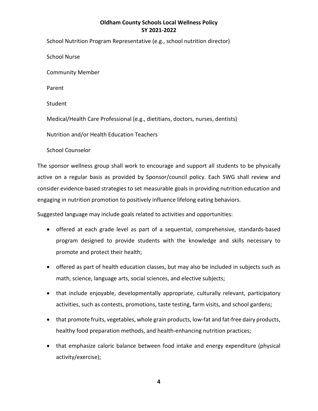School Nutrition Program Representative (e.g., school nutrition director)

School Nurse

Community Member

Parent

Student

Medical/Health Care Professional (e.g., dietitians, doctors, nurses, dentists)

Nutrition and/or Health Education Teachers

School Counselor

The sponsor wellness group shall work to encourage and support all students to be physically active on a regular basis as provided by Sponsor/council policy. Each SWG shall review and consider evidence-based strategies to set measurable goals in providing nutrition education and engaging in nutrition promotion to positively influence lifelong eating behaviors.

Suggested language may include goals related to activities and opportunities:

- offered at each grade level as part of a sequential, comprehensive, standards-based program designed to provide students with the knowledge and skills necessary to promote and protect their health;
- offered as part of health education classes, but may also be included in subjects such as math, science, language arts, social sciences, and elective subjects;
- that include enjoyable, developmentally appropriate, culturally relevant, participatory activities, such as contests, promotions, taste testing, farm visits, and school gardens;
- that promote fruits, vegetables, whole grain products, low-fat and fat-free dairy products, healthy food preparation methods, and health-enhancing nutrition practices;
- that emphasize caloric balance between food intake and energy expenditure (physical activity/exercise);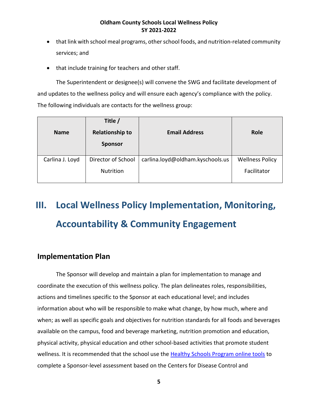- that link with school meal programs, other school foods, and nutrition-related community services; and
- that include training for teachers and other staff.

The Superintendent or designee(s) will convene the SWG and facilitate development of and updates to the wellness policy and will ensure each agency's compliance with the policy. The following individuals are contacts for the wellness group:

| <b>Name</b>     | Title /<br><b>Relationship to</b><br><b>Sponsor</b> | <b>Email Address</b>             | Role                                  |
|-----------------|-----------------------------------------------------|----------------------------------|---------------------------------------|
| Carlina J. Loyd | Director of School<br>Nutrition                     | carlina.loyd@oldham.kyschools.us | <b>Wellness Policy</b><br>Facilitator |

# **III. Local Wellness Policy Implementation, Monitoring, Accountability & Community Engagement**

# **Implementation Plan**

The Sponsor will develop and maintain a plan for implementation to manage and coordinate the execution of this wellness policy. The plan delineates roles, responsibilities, actions and timelines specific to the Sponsor at each educational level; and includes information about who will be responsible to make what change, by how much, where and when; as well as specific goals and objectives for nutrition standards for all foods and beverages available on the campus, food and beverage marketing, nutrition promotion and education, physical activity, physical education and other school-based activities that promote student wellness. It is recommended that the school use the [Healthy Schools Program online tools](https://www.healthiergeneration.org/take-action/assess-a-school-district-or-out-of-school-time-site#school) to complete a Sponsor-level assessment based on the Centers for Disease Control and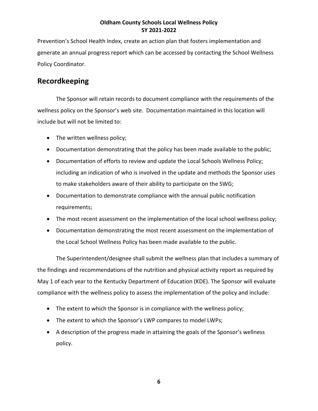Prevention's School Health Index, create an action plan that fosters implementation and generate an annual progress report which can be accessed by contacting the School Wellness Policy Coordinator.

# **Recordkeeping**

The Sponsor will retain records to document compliance with the requirements of the wellness policy on the Sponsor's web site. Documentation maintained in this location will include but will not be limited to:

- The written wellness policy;
- Documentation demonstrating that the policy has been made available to the public;
- Documentation of efforts to review and update the Local Schools Wellness Policy; including an indication of who is involved in the update and methods the Sponsor uses to make stakeholders aware of their ability to participate on the SWG;
- Documentation to demonstrate compliance with the annual public notification requirements;
- The most recent assessment on the implementation of the local school wellness policy;
- Documentation demonstrating the most recent assessment on the implementation of the Local School Wellness Policy has been made available to the public.

The Superintendent/designee shall submit the wellness plan that includes a summary of the findings and recommendations of the nutrition and physical activity report as required by May 1 of each year to the Kentucky Department of Education (KDE). The Sponsor will evaluate compliance with the wellness policy to assess the implementation of the policy and include:

- The extent to which the Sponsor is in compliance with the wellness policy;
- The extent to which the Sponsor's LWP compares to model LWPs;
- A description of the progress made in attaining the goals of the Sponsor's wellness policy.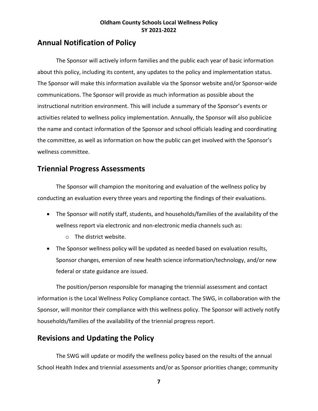# **Annual Notification of Policy**

The Sponsor will actively inform families and the public each year of basic information about this policy, including its content, any updates to the policy and implementation status. The Sponsor will make this information available via the Sponsor website and/or Sponsor-wide communications. The Sponsor will provide as much information as possible about the instructional nutrition environment. This will include a summary of the Sponsor's events or activities related to wellness policy implementation. Annually, the Sponsor will also publicize the name and contact information of the Sponsor and school officials leading and coordinating the committee, as well as information on how the public can get involved with the Sponsor's wellness committee.

# **Triennial Progress Assessments**

The Sponsor will champion the monitoring and evaluation of the wellness policy by conducting an evaluation every three years and reporting the findings of their evaluations.

- The Sponsor will notify staff, students, and households/families of the availability of the wellness report via electronic and non-electronic media channels such as:
	- o The district website.
- The Sponsor wellness policy will be updated as needed based on evaluation results, Sponsor changes, emersion of new health science information/technology, and/or new federal or state guidance are issued.

The position/person responsible for managing the triennial assessment and contact information is the Local Wellness Policy Compliance contact. The SWG, in collaboration with the Sponsor, will monitor their compliance with this wellness policy. The Sponsor will actively notify households/families of the availability of the triennial progress report.

# **Revisions and Updating the Policy**

The SWG will update or modify the wellness policy based on the results of the annual School Health Index and triennial assessments and/or as Sponsor priorities change; community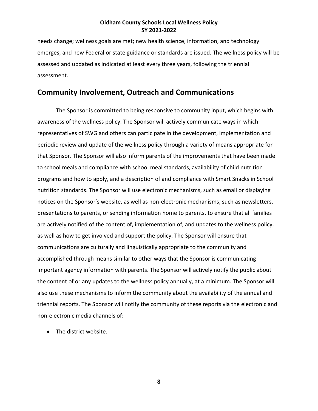needs change; wellness goals are met; new health science, information, and technology emerges; and new Federal or state guidance or standards are issued. The wellness policy will be assessed and updated as indicated at least every three years, following the triennial assessment.

# **Community Involvement, Outreach and Communications**

The Sponsor is committed to being responsive to community input, which begins with awareness of the wellness policy. The Sponsor will actively communicate ways in which representatives of SWG and others can participate in the development, implementation and periodic review and update of the wellness policy through a variety of means appropriate for that Sponsor. The Sponsor will also inform parents of the improvements that have been made to school meals and compliance with school meal standards, availability of child nutrition programs and how to apply, and a description of and compliance with Smart Snacks in School nutrition standards. The Sponsor will use electronic mechanisms, such as email or displaying notices on the Sponsor's website, as well as non-electronic mechanisms, such as newsletters, presentations to parents, or sending information home to parents, to ensure that all families are actively notified of the content of, implementation of, and updates to the wellness policy, as well as how to get involved and support the policy. The Sponsor will ensure that communications are culturally and linguistically appropriate to the community and accomplished through means similar to other ways that the Sponsor is communicating important agency information with parents. The Sponsor will actively notify the public about the content of or any updates to the wellness policy annually, at a minimum. The Sponsor will also use these mechanisms to inform the community about the availability of the annual and triennial reports. The Sponsor will notify the community of these reports via the electronic and non-electronic media channels of:

• The district website.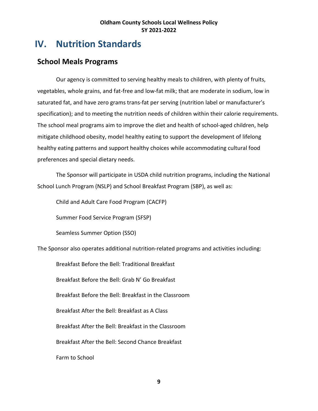# **IV. Nutrition Standards**

# **School Meals Programs**

Our agency is committed to serving healthy meals to children, with plenty of fruits, vegetables, whole grains, and fat-free and low-fat milk; that are moderate in sodium, low in saturated fat, and have zero grams trans-fat per serving (nutrition label or manufacturer's specification); and to meeting the nutrition needs of children within their calorie requirements. The school meal programs aim to improve the diet and health of school-aged children, help mitigate childhood obesity, model healthy eating to support the development of lifelong healthy eating patterns and support healthy choices while accommodating cultural food preferences and special dietary needs.

The Sponsor will participate in USDA child nutrition programs, including the National School Lunch Program (NSLP) and School Breakfast Program (SBP), as well as:

Child and Adult Care Food Program (CACFP)

Summer Food Service Program (SFSP)

Seamless Summer Option (SSO)

The Sponsor also operates additional nutrition-related programs and activities including:

Breakfast Before the Bell: Traditional Breakfast Breakfast Before the Bell: Grab N' Go Breakfast Breakfast Before the Bell: Breakfast in the Classroom Breakfast After the Bell: Breakfast as A Class Breakfast After the Bell: Breakfast in the Classroom Breakfast After the Bell: Second Chance Breakfast Farm to School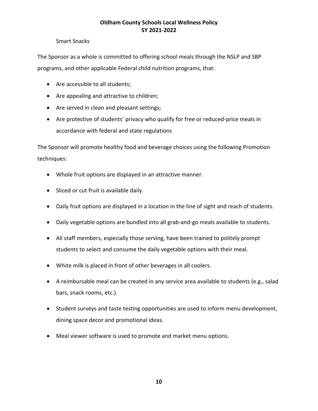#### Smart Snacks

The Sponsor as a whole is committed to offering school meals through the NSLP and SBP programs, and other applicable Federal child nutrition programs, that:

- Are accessible to all students;
- Are appealing and attractive to children;
- Are served in clean and pleasant settings;
- Are protective of students' privacy who qualify for free or reduced-price meals in accordance with federal and state regulations

The Sponsor will promote healthy food and beverage choices using the following Promotion techniques:

- Whole fruit options are displayed in an attractive manner.
- Sliced or cut fruit is available daily.
- Daily fruit options are displayed in a location in the line of sight and reach of students.
- Daily vegetable options are bundled into all grab-and-go meals available to students.
- All staff members, especially those serving, have been trained to politely prompt students to select and consume the daily vegetable options with their meal.
- White milk is placed in front of other beverages in all coolers.
- A reimbursable meal can be created in any service area available to students (e.g., salad bars, snack rooms, etc.).
- Student surveys and taste testing opportunities are used to inform menu development, dining space decor and promotional ideas.
- Meal viewer software is used to promote and market menu options.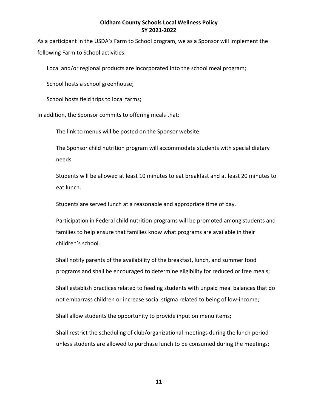As a participant in the USDA's Farm to School program, we as a Sponsor will implement the following Farm to School activities:

Local and/or regional products are incorporated into the school meal program;

School hosts a school greenhouse;

School hosts field trips to local farms;

In addition, the Sponsor commits to offering meals that:

The link to menus will be posted on the Sponsor website.

The Sponsor child nutrition program will accommodate students with special dietary needs.

Students will be allowed at least 10 minutes to eat breakfast and at least 20 minutes to eat lunch.

Students are served lunch at a reasonable and appropriate time of day.

Participation in Federal child nutrition programs will be promoted among students and families to help ensure that families know what programs are available in their children's school.

Shall notify parents of the availability of the breakfast, lunch, and summer food programs and shall be encouraged to determine eligibility for reduced or free meals;

Shall establish practices related to feeding students with unpaid meal balances that do not embarrass children or increase social stigma related to being of low-income;

Shall allow students the opportunity to provide input on menu items;

Shall restrict the scheduling of club/organizational meetings during the lunch period unless students are allowed to purchase lunch to be consumed during the meetings;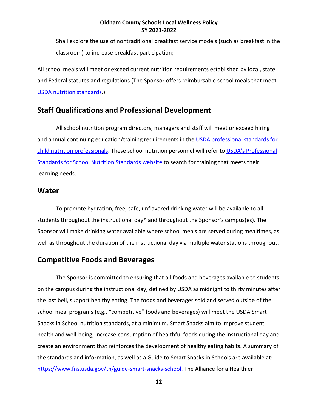Shall explore the use of nontraditional breakfast service models (such as breakfast in the classroom) to increase breakfast participation;

All school meals will meet or exceed current nutrition requirements established by local, state, and Federal statutes and regulations (The Sponsor offers reimbursable school meals that meet [USDA nutrition standards.](http://www.fns.usda.gov/school-meals/nutrition-standards-school-meals))

# **Staff Qualifications and Professional Development**

All school nutrition program directors, managers and staff will meet or exceed hiring and annual continuing education/training requirements in the [USDA professional standards for](https://www.govinfo.gov/content/pkg/FR-2015-03-02/pdf/2015-04234.pdf)  [child nutrition professionals.](https://www.govinfo.gov/content/pkg/FR-2015-03-02/pdf/2015-04234.pdf) These school nutrition personnel will refer to USDA's Professional [Standards for School Nutrition Standards website](https://www.fns.usda.gov/cn/professional-standards) to search for training that meets their learning needs.

#### **Water**

To promote hydration, free, safe, unflavored drinking water will be available to all students throughout the instructional day\* and throughout the Sponsor's campus(es). The Sponsor will make drinking water available where school meals are served during mealtimes, as well as throughout the duration of the instructional day via multiple water stations throughout.

### **Competitive Foods and Beverages**

The Sponsor is committed to ensuring that all foods and beverages available to students on the campus during the instructional day, defined by USDA as midnight to thirty minutes after the last bell, support healthy eating. The foods and beverages sold and served outside of the school meal programs (e.g., "competitive" foods and beverages) will meet the USDA Smart Snacks in School nutrition standards, at a minimum. Smart Snacks aim to improve student health and well-being, increase consumption of healthful foods during the instructional day and create an environment that reinforces the development of healthy eating habits. A summary of the standards and information, as well as a Guide to Smart Snacks in Schools are available at: [https://www.fns.usda.gov/tn/guide-smart-snacks-school.](https://www.fns.usda.gov/tn/guide-smart-snacks-school) The Alliance for a Healthier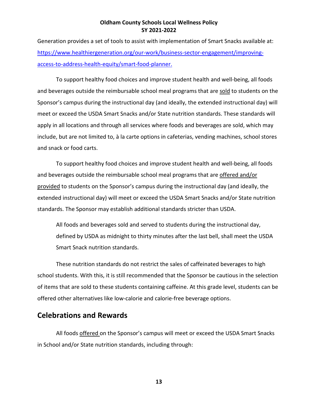Generation provides a set of tools to assist with implementation of Smart Snacks available at: [https://www.healthiergeneration.org/our-work/business-sector-engagement/improving](https://www.healthiergeneration.org/our-work/business-sector-engagement/improving-access-to-address-health-equity/smart-food-planner)[access-to-address-health-equity/smart-food-planner.](https://www.healthiergeneration.org/our-work/business-sector-engagement/improving-access-to-address-health-equity/smart-food-planner)

To support healthy food choices and improve student health and well-being, all foods and beverages outside the reimbursable school meal programs that are sold to students on the Sponsor's campus during the instructional day (and ideally, the extended instructional day) will meet or exceed the USDA Smart Snacks and/or State nutrition standards. These standards will apply in all locations and through all services where foods and beverages are sold, which may include, but are not limited to, à la carte options in cafeterias, vending machines, school stores and snack or food carts.

To support healthy food choices and improve student health and well-being, all foods and beverages outside the reimbursable school meal programs that are offered and/or provided to students on the Sponsor's campus during the instructional day (and ideally, the extended instructional day) will meet or exceed the USDA Smart Snacks and/or State nutrition standards. The Sponsor may establish additional standards stricter than USDA.

All foods and beverages sold and served to students during the instructional day, defined by USDA as midnight to thirty minutes after the last bell, shall meet the USDA Smart Snack nutrition standards.

These nutrition standards do not restrict the sales of caffeinated beverages to high school students. With this, it is still recommended that the Sponsor be cautious in the selection of items that are sold to these students containing caffeine. At this grade level, students can be offered other alternatives like low-calorie and calorie-free beverage options.

# **Celebrations and Rewards**

All foods offered on the Sponsor's campus will meet or exceed the USDA Smart Snacks in School and/or State nutrition standards, including through: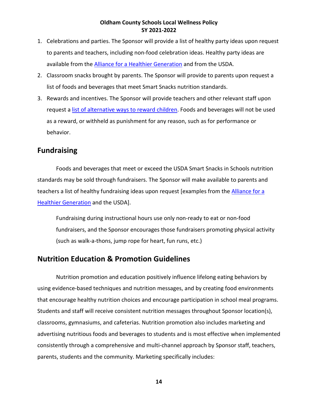- 1. Celebrations and parties. The Sponsor will provide a list of healthy party ideas upon request to parents and teachers, including non-food celebration ideas. Healthy party ideas are available from the [Alliance for a Healthier Generation](https://www.healthiergeneration.org/take_action/schools/snacks_and_beverages/celebrations/) and from the USDA.
- 2. Classroom snacks brought by parents. The Sponsor will provide to parents upon request a list of foods and beverages that meet Smart Snacks nutrition standards.
- 3. Rewards and incentives. The Sponsor will provide teachers and other relevant staff upon request [a list of alternative ways to reward](https://www.healthiergeneration.org/take_action/schools/snacks_and_beverages/non-food_rewards/) children. Foods and beverages will not be used as a reward, or withheld as punishment for any reason, such as for performance or behavior.

# **Fundraising**

Foods and beverages that meet or exceed the USDA Smart Snacks in Schools nutrition standards may be sold through fundraisers. The Sponsor will make available to parents and teachers a list of healthy fundraising ideas upon request [examples from the [Alliance for a](https://www.healthiergeneration.org/take_action/schools/snacks_and_beverages/fundraisers/)  [Healthier Generation](https://www.healthiergeneration.org/take_action/schools/snacks_and_beverages/fundraisers/) and the USDA].

Fundraising during instructional hours use only non-ready to eat or non-food fundraisers, and the Sponsor encourages those fundraisers promoting physical activity (such as walk-a-thons, jump rope for heart, fun runs, etc.)

# **Nutrition Education & Promotion Guidelines**

Nutrition promotion and education positively influence lifelong eating behaviors by using evidence-based techniques and nutrition messages, and by creating food environments that encourage healthy nutrition choices and encourage participation in school meal programs. Students and staff will receive consistent nutrition messages throughout Sponsor location(s), classrooms, gymnasiums, and cafeterias. Nutrition promotion also includes marketing and advertising nutritious foods and beverages to students and is most effective when implemented consistently through a comprehensive and multi-channel approach by Sponsor staff, teachers, parents, students and the community. Marketing specifically includes: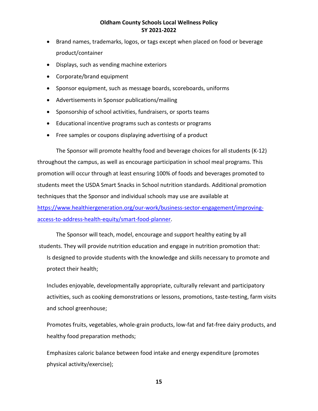- Brand names, trademarks, logos, or tags except when placed on food or beverage product/container
- Displays, such as vending machine exteriors
- Corporate/brand equipment
- Sponsor equipment, such as message boards, scoreboards, uniforms
- Advertisements in Sponsor publications/mailing
- Sponsorship of school activities, fundraisers, or sports teams
- Educational incentive programs such as contests or programs
- Free samples or coupons displaying advertising of a product

The Sponsor will promote healthy food and beverage choices for all students (K-12) throughout the campus, as well as encourage participation in school meal programs. This promotion will occur through at least ensuring 100% of foods and beverages promoted to students meet the USDA Smart Snacks in School nutrition standards. Additional promotion techniques that the Sponsor and individual schools may use are available at [https://www.healthiergeneration.org/our-work/business-sector-engagement/improving](https://www.healthiergeneration.org/our-work/business-sector-engagement/improving-access-to-address-health-equity/smart-food-planner)[access-to-address-health-equity/smart-food-planner.](https://www.healthiergeneration.org/our-work/business-sector-engagement/improving-access-to-address-health-equity/smart-food-planner)

The Sponsor will teach, model, encourage and support healthy eating by all students. They will provide nutrition education and engage in nutrition promotion that: Is designed to provide students with the knowledge and skills necessary to promote and protect their health;

Includes enjoyable, developmentally appropriate, culturally relevant and participatory activities, such as cooking demonstrations or lessons, promotions, taste-testing, farm visits and school greenhouse;

Promotes fruits, vegetables, whole-grain products, low-fat and fat-free dairy products, and healthy food preparation methods;

Emphasizes caloric balance between food intake and energy expenditure (promotes physical activity/exercise);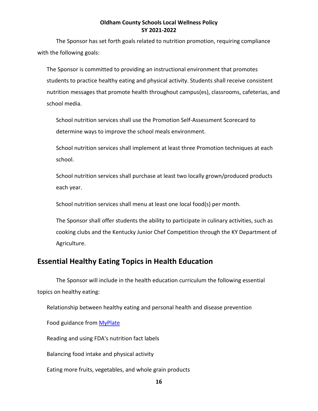The Sponsor has set forth goals related to nutrition promotion, requiring compliance with the following goals:

The Sponsor is committed to providing an instructional environment that promotes students to practice healthy eating and physical activity. Students shall receive consistent nutrition messages that promote health throughout campus(es), classrooms, cafeterias, and school media.

School nutrition services shall use the Promotion Self-Assessment Scorecard to determine ways to improve the school meals environment.

School nutrition services shall implement at least three Promotion techniques at each school.

School nutrition services shall purchase at least two locally grown/produced products each year.

School nutrition services shall menu at least one local food(s) per month.

The Sponsor shall offer students the ability to participate in culinary activities, such as cooking clubs and the Kentucky Junior Chef Competition through the KY Department of Agriculture.

# **Essential Healthy Eating Topics in Health Education**

The Sponsor will include in the health education curriculum the following essential topics on healthy eating:

Relationship between healthy eating and personal health and disease prevention

Food guidance from [MyPlate](http://www.choosemyplate.gov/)

Reading and using FDA's nutrition fact labels

Balancing food intake and physical activity

Eating more fruits, vegetables, and whole grain products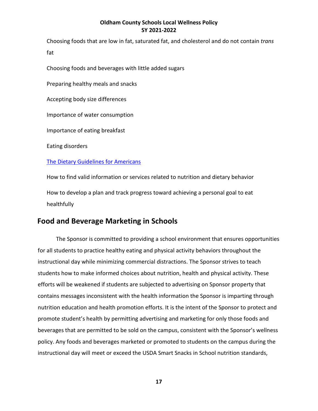Choosing foods that are low in fat, saturated fat, and cholesterol and do not contain *trans*  fat

Choosing foods and beverages with little added sugars

Preparing healthy meals and snacks

Accepting body size differences

Importance of water consumption

Importance of eating breakfast

Eating disorders

#### [The Dietary Guidelines for Americans](https://www.choosemyplate.gov/dietary-guidelines)

How to find valid information or services related to nutrition and dietary behavior How to develop a plan and track progress toward achieving a personal goal to eat healthfully

# **Food and Beverage Marketing in Schools**

The Sponsor is committed to providing a school environment that ensures opportunities for all students to practice healthy eating and physical activity behaviors throughout the instructional day while minimizing commercial distractions. The Sponsor strives to teach students how to make informed choices about nutrition, health and physical activity. These efforts will be weakened if students are subjected to advertising on Sponsor property that contains messages inconsistent with the health information the Sponsor is imparting through nutrition education and health promotion efforts. It is the intent of the Sponsor to protect and promote student's health by permitting advertising and marketing for only those foods and beverages that are permitted to be sold on the campus, consistent with the Sponsor's wellness policy. Any foods and beverages marketed or promoted to students on the campus during the instructional day will meet or exceed the USDA Smart Snacks in School nutrition standards,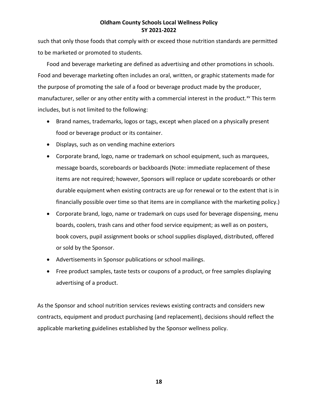such that only those foods that comply with or exceed those nutrition standards are permitted to be marketed or promoted to students.

Food and beverage marketing are defined as advertising and other promotions in schools. Food and beverage marketing often includes an oral, written, or graphic statements made for the purpose of promoting the sale of a food or beverage product made by the producer, manufacturer, seller or any other entity with a commercial interest in the product.<sup>[xv](#page-28-14)</sup> This term includes, but is not limited to the following:

- Brand names, trademarks, logos or tags, except when placed on a physically present food or beverage product or its container.
- Displays, such as on vending machine exteriors
- Corporate brand, logo, name or trademark on school equipment, such as marquees, message boards, scoreboards or backboards (Note: immediate replacement of these items are not required; however, Sponsors will replace or update scoreboards or other durable equipment when existing contracts are up for renewal or to the extent that is in financially possible over time so that items are in compliance with the marketing policy.)
- Corporate brand, logo, name or trademark on cups used for beverage dispensing, menu boards, coolers, trash cans and other food service equipment; as well as on posters, book covers, pupil assignment books or school supplies displayed, distributed, offered or sold by the Sponsor.
- Advertisements in Sponsor publications or school mailings.
- Free product samples, taste tests or coupons of a product, or free samples displaying advertising of a product.

As the Sponsor and school nutrition services reviews existing contracts and considers new contracts, equipment and product purchasing (and replacement), decisions should reflect the applicable marketing guidelines established by the Sponsor wellness policy.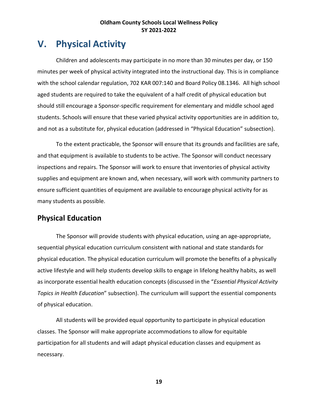# **V. Physical Activity**

Children and adolescents may participate in no more than 30 minutes per day, or 150 minutes per week of physical activity integrated into the instructional day. This is in compliance with the school calendar regulation, 702 KAR 007:140 and Board Policy 08.1346. All high school aged students are required to take the equivalent of a half credit of physical education but should still encourage a Sponsor-specific requirement for elementary and middle school aged students. Schools will ensure that these varied physical activity opportunities are in addition to, and not as a substitute for, physical education (addressed in "Physical Education" subsection).

To the extent practicable, the Sponsor will ensure that its grounds and facilities are safe, and that equipment is available to students to be active. The Sponsor will conduct necessary inspections and repairs. The Sponsor will work to ensure that inventories of physical activity supplies and equipment are known and, when necessary, will work with community partners to ensure sufficient quantities of equipment are available to encourage physical activity for as many students as possible.

# **Physical Education**

The Sponsor will provide students with physical education, using an age-appropriate, sequential physical education curriculum consistent with national and state standards for physical education. The physical education curriculum will promote the benefits of a physically active lifestyle and will help students develop skills to engage in lifelong healthy habits, as well as incorporate essential health education concepts (discussed in the "*Essential Physical Activity Topics in Health Education*" subsection). The curriculum will support the essential components of physical education.

All students will be provided equal opportunity to participate in physical education classes. The Sponsor will make appropriate accommodations to allow for equitable participation for all students and will adapt physical education classes and equipment as necessary.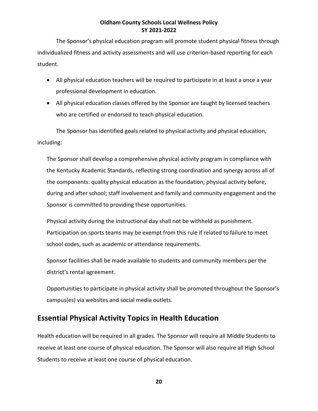The Sponsor's physical education program will promote student physical fitness through individualized fitness and activity assessments and will use criterion-based reporting for each student.

- All physical education teachers will be required to participate in at least a once a year professional development in education.
- All physical education classes offered by the Sponsor are taught by licensed teachers who are certified or endorsed to teach physical education.

The Sponsor has identified goals related to physical activity and physical education, including:

The Sponsor shall develop a comprehensive physical activity program in compliance with the Kentucky Academic Standards, reflecting strong coordination and synergy across all of the components: quality physical education as the foundation; physical activity before, during and after school; staff involvement and family and community engagement and the Sponsor is committed to providing these opportunities.

Physical activity during the instructional day shall not be withheld as punishment. Participation on sports teams may be exempt from this rule if related to failure to meet school codes, such as academic or attendance requirements.

Sponsor facilities shall be made available to students and community members per the district's rental agreement.

Opportunities to participate in physical activity shall be promoted throughout the Sponsor's campus(es) via websites and social media outlets.

# **Essential Physical Activity Topics in Health Education**

Health education will be required in all grades. The Sponsor will require all Middle Students to receive at least one course of physical education. The Sponsor will also require all High School Students to receive at least one course of physical education.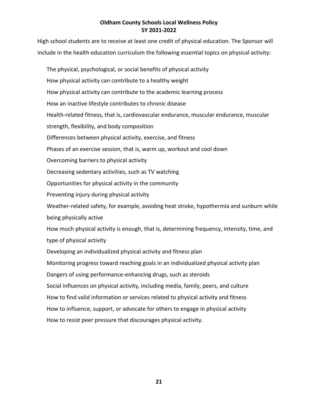High school students are to receive at least one credit of physical education. The Sponsor will include in the health education curriculum the following essential topics on physical activity:

The physical, psychological, or social benefits of physical activity How physical activity can contribute to a healthy weight How physical activity can contribute to the academic learning process How an inactive lifestyle contributes to chronic disease Health-related fitness, that is, cardiovascular endurance, muscular endurance, muscular strength, flexibility, and body composition Differences between physical activity, exercise, and fitness Phases of an exercise session, that is, warm up, workout and cool down Overcoming barriers to physical activity Decreasing sedentary activities, such as TV watching Opportunities for physical activity in the community Preventing injury during physical activity Weather-related safety, for example, avoiding heat stroke, hypothermia and sunburn while being physically active How much physical activity is enough, that is, determining frequency, intensity, time, and type of physical activity Developing an individualized physical activity and fitness plan Monitoring progress toward reaching goals in an individualized physical activity plan Dangers of using performance-enhancing drugs, such as steroids Social influences on physical activity, including media, family, peers, and culture How to find valid information or services related to physical activity and fitness How to influence, support, or advocate for others to engage in physical activity How to resist peer pressure that discourages physical activity.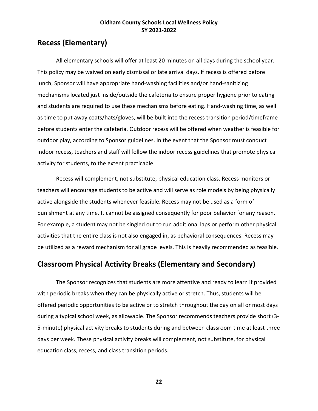# **Recess (Elementary)**

All elementary schools will offer at least 20 minutes on all days during the school year. This policy may be waived on early dismissal or late arrival days. If recess is offered before lunch, Sponsor will have appropriate hand-washing facilities and/or hand-sanitizing mechanisms located just inside/outside the cafeteria to ensure proper hygiene prior to eating and students are required to use these mechanisms before eating. Hand-washing time, as well as time to put away coats/hats/gloves, will be built into the recess transition period/timeframe before students enter the cafeteria. Outdoor recess will be offered when weather is feasible for outdoor play, according to Sponsor guidelines. In the event that the Sponsor must conduct indoor recess, teachers and staff will follow the indoor recess guidelines that promote physical activity for students, to the extent practicable.

Recess will complement, not substitute, physical education class. Recess monitors or teachers will encourage students to be active and will serve as role models by being physically active alongside the students whenever feasible. Recess may not be used as a form of punishment at any time. It cannot be assigned consequently for poor behavior for any reason. For example, a student may not be singled out to run additional laps or perform other physical activities that the entire class is not also engaged in, as behavioral consequences. Recess may be utilized as a reward mechanism for all grade levels. This is heavily recommended as feasible.

# **Classroom Physical Activity Breaks (Elementary and Secondary)**

The Sponsor recognizes that students are more attentive and ready to learn if provided with periodic breaks when they can be physically active or stretch. Thus, students will be offered periodic opportunities to be active or to stretch throughout the day on all or most days during a typical school week, as allowable. The Sponsor recommends teachers provide short (3- 5-minute) physical activity breaks to students during and between classroom time at least three days per week. These physical activity breaks will complement, not substitute, for physical education class, recess, and class transition periods.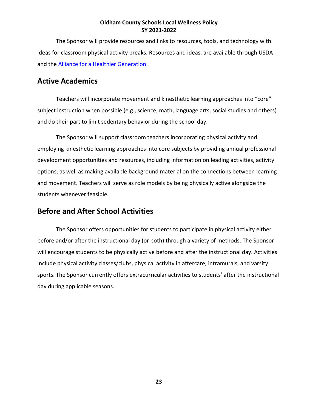The Sponsor will provide resources and links to resources, tools, and technology with ideas for classroom physical activity breaks. Resources and ideas. are available through USDA and the [Alliance for a Healthier Generation.](https://www.healthiergeneration.org/app/resources?tags=physical-activity&resources_page=1&resources_sort_dir=asc&resources_sort_name=weight_sort&resources_search=physical%20activity&resources_resource_type_id=&resources_tags=)

# **Active Academics**

Teachers will incorporate movement and kinesthetic learning approaches into "core" subject instruction when possible (e.g., science, math, language arts, social studies and others) and do their part to limit sedentary behavior during the school day.

The Sponsor will support classroom teachers incorporating physical activity and employing kinesthetic learning approaches into core subjects by providing annual professional development opportunities and resources, including information on leading activities, activity options, as well as making available background material on the connections between learning and movement. Teachers will serve as role models by being physically active alongside the students whenever feasible.

# **Before and After School Activities**

The Sponsor offers opportunities for students to participate in physical activity either before and/or after the instructional day (or both) through a variety of methods. The Sponsor will encourage students to be physically active before and after the instructional day. Activities include physical activity classes/clubs, physical activity in aftercare, intramurals, and varsity sports. The Sponsor currently offers extracurricular activities to students' after the instructional day during applicable seasons.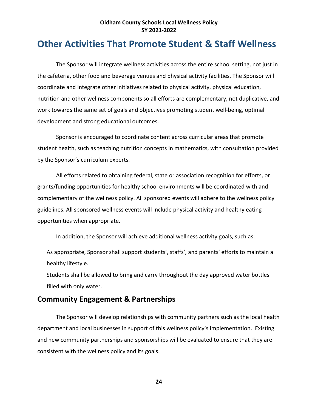# **Other Activities That Promote Student & Staff Wellness**

The Sponsor will integrate wellness activities across the entire school setting, not just in the cafeteria, other food and beverage venues and physical activity facilities. The Sponsor will coordinate and integrate other initiatives related to physical activity, physical education, nutrition and other wellness components so all efforts are complementary, not duplicative, and work towards the same set of goals and objectives promoting student well-being, optimal development and strong educational outcomes.

Sponsor is encouraged to coordinate content across curricular areas that promote student health, such as teaching nutrition concepts in mathematics, with consultation provided by the Sponsor's curriculum experts.

All efforts related to obtaining federal, state or association recognition for efforts, or grants/funding opportunities for healthy school environments will be coordinated with and complementary of the wellness policy. All sponsored events will adhere to the wellness policy guidelines. All sponsored wellness events will include physical activity and healthy eating opportunities when appropriate.

In addition, the Sponsor will achieve additional wellness activity goals, such as:

As appropriate, Sponsor shall support students', staffs', and parents' efforts to maintain a healthy lifestyle.

Students shall be allowed to bring and carry throughout the day approved water bottles filled with only water.

### **Community Engagement & Partnerships**

The Sponsor will develop relationships with community partners such as the local health department and local businesses in support of this wellness policy's implementation. Existing and new community partnerships and sponsorships will be evaluated to ensure that they are consistent with the wellness policy and its goals.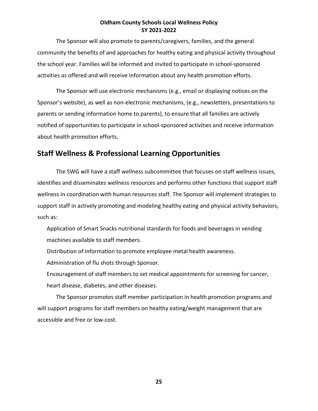The Sponsor will also promote to parents/caregivers, families, and the general community the benefits of and approaches for healthy eating and physical activity throughout the school year. Families will be informed and invited to participate in school-sponsored activities as offered and will receive information about any health promotion efforts.

The Sponsor will use electronic mechanisms (e.g., email or displaying notices on the Sponsor's website), as well as non-electronic mechanisms, (e.g., newsletters, presentations to parents or sending information home to parents), to ensure that all families are actively notified of opportunities to participate in school-sponsored activities and receive information about health promotion efforts.

# **Staff Wellness & Professional Learning Opportunities**

The SWG will have a staff wellness subcommittee that focuses on staff wellness issues, identifies and disseminates wellness resources and performs other functions that support staff wellness in coordination with human resources staff. The Sponsor will implement strategies to support staff in actively promoting and modeling healthy eating and physical activity behaviors, such as:

Application of Smart Snacks nutritional standards for foods and beverages in vending machines available to staff members.

Distribution of information to promote employee metal health awareness.

Administration of flu shots through Sponsor.

Encouragement of staff members to set medical appointments for screening for cancer, heart disease, diabetes, and other diseases.

The Sponsor promotes staff member participation in health promotion programs and will support programs for staff members on healthy eating/weight management that are accessible and free or low-cost.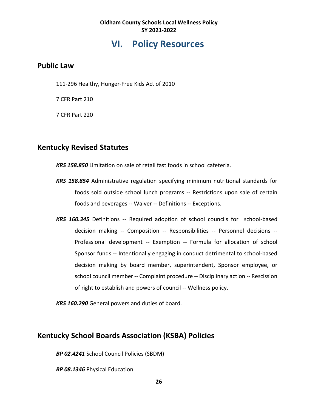# **VI. Policy Resources**

# **Public Law**

111-296 Healthy, Hunger-Free Kids Act of 2010

7 CFR Part 210

7 CFR Part 220

# **Kentucky Revised Statutes**

*KRS 158.850* Limitation on sale of retail fast foods in school cafeteria.

- *KRS 158.854* Administrative regulation specifying minimum nutritional standards for foods sold outside school lunch programs -- Restrictions upon sale of certain foods and beverages -- Waiver -- Definitions -- Exceptions.
- *KRS 160.345* Definitions -- Required adoption of school councils for school-based decision making -- Composition -- Responsibilities -- Personnel decisions -- Professional development -- Exemption -- Formula for allocation of school Sponsor funds -- Intentionally engaging in conduct detrimental to school-based decision making by board member, superintendent, Sponsor employee, or school council member -- Complaint procedure -- Disciplinary action -- Rescission of right to establish and powers of council -- Wellness policy.

*KRS 160.290* General powers and duties of board.

# **Kentucky School Boards Association (KSBA) Policies**

*BP 02.4241* School Council Policies (SBDM)

*BP 08.1346* Physical Education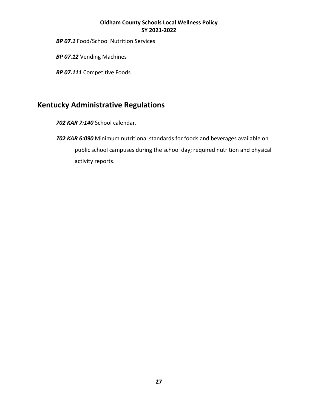*BP 07.1* Food/School Nutrition Services

*BP 07.12* Vending Machines

*BP 07.111* Competitive Foods

# **Kentucky Administrative Regulations**

*702 KAR 7:140* School calendar.

*702 KAR 6:090* Minimum nutritional standards for foods and beverages available on public school campuses during the school day; required nutrition and physical activity reports.